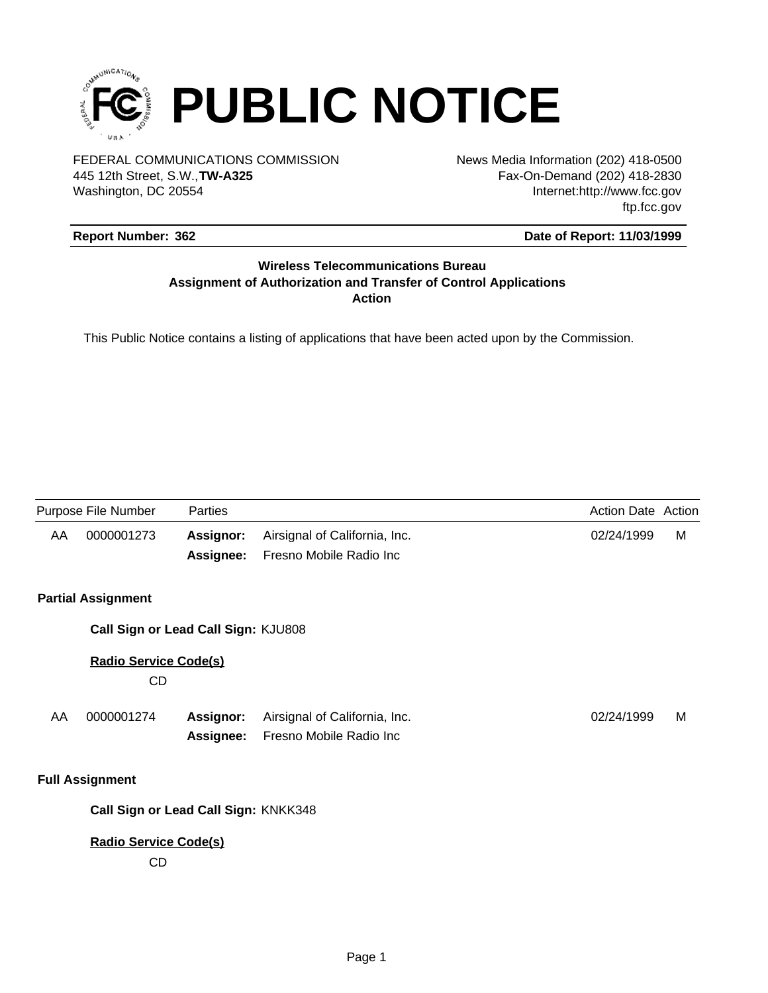

FEDERAL COMMUNICATIONS COMMISSION News Media Information (202) 418-0500 Washington, DC 20554 445 12th Street, S.W.,**TW-A325**

Fax-On-Demand (202) 418-2830 Internet:http://www.fcc.gov ftp.fcc.gov

## **Report Number: 362**

### **Date of Report: 11/03/1999**

## **Wireless Telecommunications Bureau Assignment of Authorization and Transfer of Control Applications Action**

This Public Notice contains a listing of applications that have been acted upon by the Commission.

| Purpose File Number |                                    | <b>Parties</b>                       |                                                          | <b>Action Date Action</b> |   |
|---------------------|------------------------------------|--------------------------------------|----------------------------------------------------------|---------------------------|---|
| AA                  | 0000001273                         | <b>Assignor:</b><br>Assignee:        | Airsignal of California, Inc.<br>Fresno Mobile Radio Inc | 02/24/1999                | м |
|                     | <b>Partial Assignment</b>          |                                      |                                                          |                           |   |
|                     |                                    | Call Sign or Lead Call Sign: KJU808  |                                                          |                           |   |
|                     | <b>Radio Service Code(s)</b><br>CD |                                      |                                                          |                           |   |
| AA                  | 0000001274                         | <b>Assignor:</b><br>Assignee:        | Airsignal of California, Inc.<br>Fresno Mobile Radio Inc | 02/24/1999                | м |
|                     | <b>Full Assignment</b>             |                                      |                                                          |                           |   |
|                     |                                    | Call Sign or Lead Call Sign: KNKK348 |                                                          |                           |   |
|                     | <b>Radio Service Code(s)</b><br>CD |                                      |                                                          |                           |   |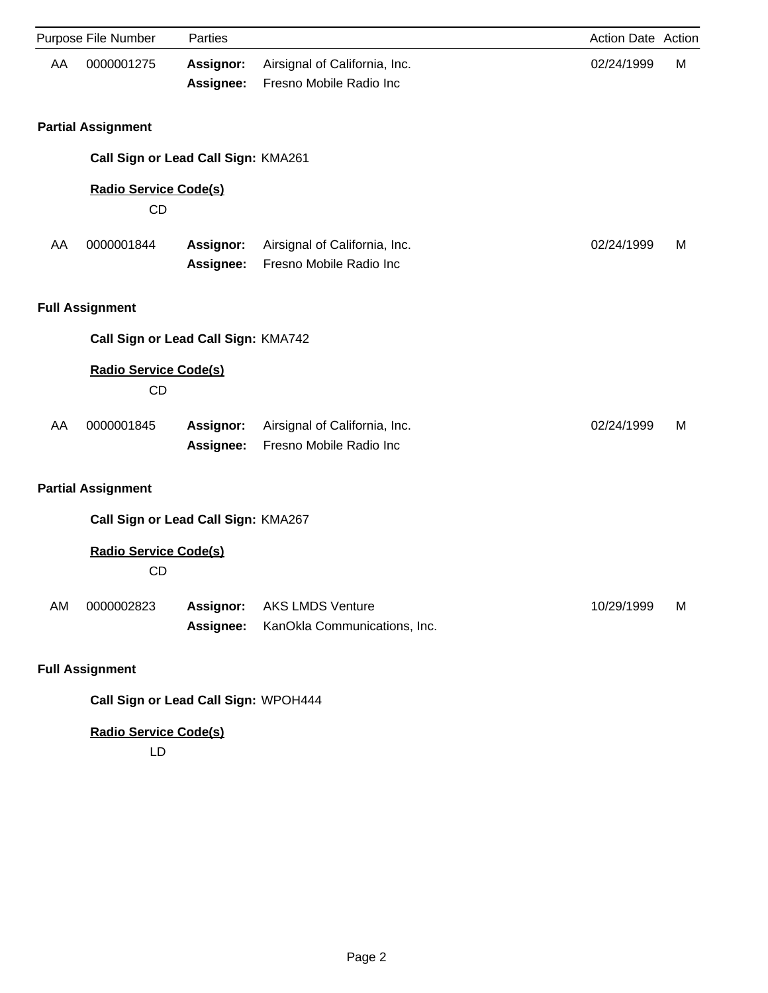|    | Purpose File Number                       | Parties                       |                                                          | Action Date Action |   |
|----|-------------------------------------------|-------------------------------|----------------------------------------------------------|--------------------|---|
| AA | 0000001275                                | <b>Assignor:</b><br>Assignee: | Airsignal of California, Inc.<br>Fresno Mobile Radio Inc | 02/24/1999         | М |
|    | <b>Partial Assignment</b>                 |                               |                                                          |                    |   |
|    | Call Sign or Lead Call Sign: KMA261       |                               |                                                          |                    |   |
|    | <b>Radio Service Code(s)</b><br>CD        |                               |                                                          |                    |   |
| AA | 0000001844                                | <b>Assignor:</b><br>Assignee: | Airsignal of California, Inc.<br>Fresno Mobile Radio Inc | 02/24/1999         | м |
|    | <b>Full Assignment</b>                    |                               |                                                          |                    |   |
|    | Call Sign or Lead Call Sign: KMA742       |                               |                                                          |                    |   |
|    | <b>Radio Service Code(s)</b><br><b>CD</b> |                               |                                                          |                    |   |
| AA | 0000001845                                | Assignor:<br>Assignee:        | Airsignal of California, Inc.<br>Fresno Mobile Radio Inc | 02/24/1999         | м |
|    | <b>Partial Assignment</b>                 |                               |                                                          |                    |   |
|    | Call Sign or Lead Call Sign: KMA267       |                               |                                                          |                    |   |
|    | <b>Radio Service Code(s)</b><br><b>CD</b> |                               |                                                          |                    |   |
| AM | 0000002823                                | Assignor:<br>Assignee:        | <b>AKS LMDS Venture</b><br>KanOkla Communications, Inc.  | 10/29/1999         | M |
|    | <b>Full Assignment</b>                    |                               |                                                          |                    |   |
|    | Call Sign or Lead Call Sign: WPOH444      |                               |                                                          |                    |   |

**Radio Service Code(s)**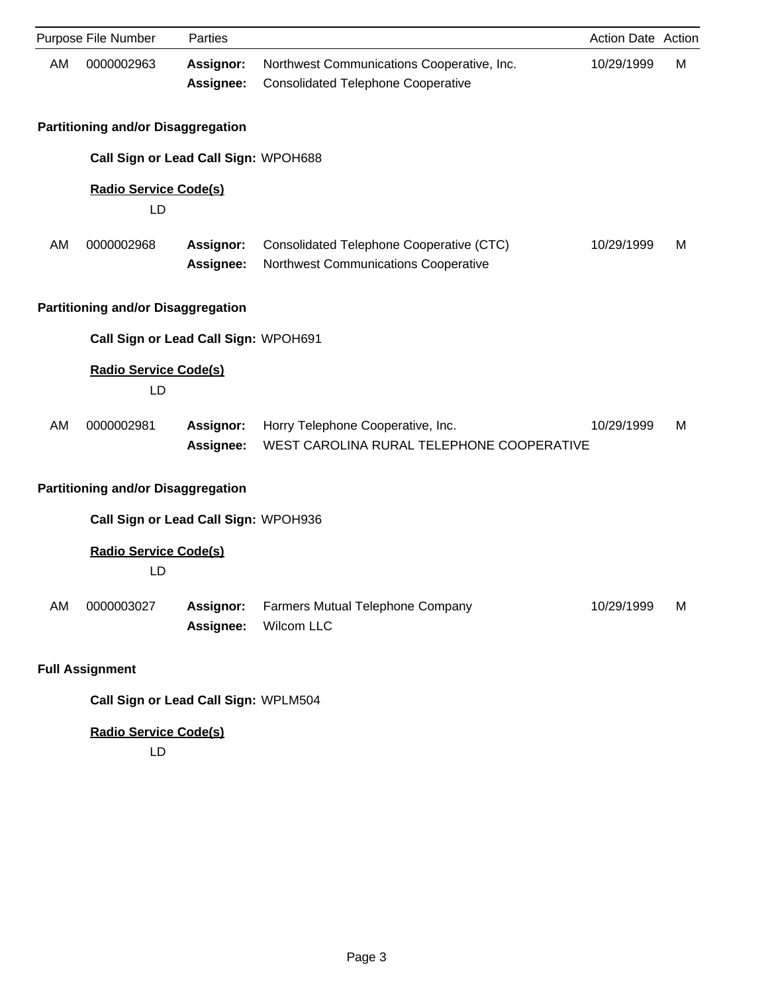|    | Purpose File Number                       | Parties                       |                                                                                         | Action Date Action |   |
|----|-------------------------------------------|-------------------------------|-----------------------------------------------------------------------------------------|--------------------|---|
| AM | 0000002963                                | <b>Assignor:</b><br>Assignee: | Northwest Communications Cooperative, Inc.<br><b>Consolidated Telephone Cooperative</b> | 10/29/1999         | М |
|    | <b>Partitioning and/or Disaggregation</b> |                               |                                                                                         |                    |   |
|    | Call Sign or Lead Call Sign: WPOH688      |                               |                                                                                         |                    |   |
|    | <b>Radio Service Code(s)</b><br>LD        |                               |                                                                                         |                    |   |
| AM | 0000002968                                | <b>Assignor:</b><br>Assignee: | Consolidated Telephone Cooperative (CTC)<br>Northwest Communications Cooperative        | 10/29/1999         | м |
|    | <b>Partitioning and/or Disaggregation</b> |                               |                                                                                         |                    |   |
|    | Call Sign or Lead Call Sign: WPOH691      |                               |                                                                                         |                    |   |
|    | <b>Radio Service Code(s)</b><br>LD        |                               |                                                                                         |                    |   |
| AM | 0000002981                                | Assignor:<br>Assignee:        | Horry Telephone Cooperative, Inc.<br>WEST CAROLINA RURAL TELEPHONE COOPERATIVE          | 10/29/1999         | м |
|    | <b>Partitioning and/or Disaggregation</b> |                               |                                                                                         |                    |   |
|    | Call Sign or Lead Call Sign: WPOH936      |                               |                                                                                         |                    |   |
|    | <b>Radio Service Code(s)</b><br>LD        |                               |                                                                                         |                    |   |
| AM | 0000003027                                | <b>Assignor:</b><br>Assignee: | Farmers Mutual Telephone Company<br>Wilcom LLC                                          | 10/29/1999         | M |
|    | <b>Full Assignment</b>                    |                               |                                                                                         |                    |   |
|    | Call Sign or Lead Call Sign: WPLM504      |                               |                                                                                         |                    |   |
|    | <b>Radio Service Code(s)</b>              |                               |                                                                                         |                    |   |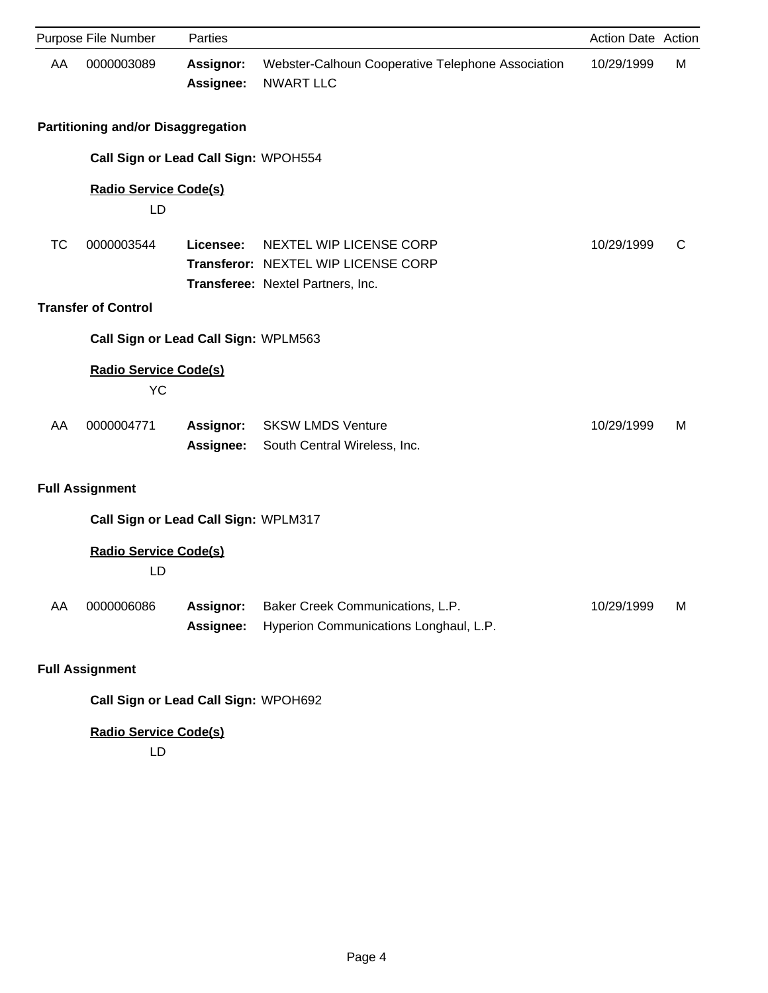|           | Purpose File Number                       | Parties                              |                                                                                                     | Action Date Action |   |
|-----------|-------------------------------------------|--------------------------------------|-----------------------------------------------------------------------------------------------------|--------------------|---|
| AA        | 0000003089                                | <b>Assignor:</b><br>Assignee:        | Webster-Calhoun Cooperative Telephone Association<br><b>NWART LLC</b>                               | 10/29/1999         | М |
|           | <b>Partitioning and/or Disaggregation</b> |                                      |                                                                                                     |                    |   |
|           | Call Sign or Lead Call Sign: WPOH554      |                                      |                                                                                                     |                    |   |
|           | <b>Radio Service Code(s)</b><br>LD        |                                      |                                                                                                     |                    |   |
| <b>TC</b> | 0000003544                                | Licensee:                            | NEXTEL WIP LICENSE CORP<br>Transferor: NEXTEL WIP LICENSE CORP<br>Transferee: Nextel Partners, Inc. | 10/29/1999         | C |
|           | <b>Transfer of Control</b>                |                                      |                                                                                                     |                    |   |
|           | Call Sign or Lead Call Sign: WPLM563      |                                      |                                                                                                     |                    |   |
|           | <b>Radio Service Code(s)</b><br><b>YC</b> |                                      |                                                                                                     |                    |   |
| AA        | 0000004771                                | <b>Assignor:</b><br><b>Assignee:</b> | <b>SKSW LMDS Venture</b><br>South Central Wireless, Inc.                                            | 10/29/1999         | м |
|           | <b>Full Assignment</b>                    |                                      |                                                                                                     |                    |   |
|           | Call Sign or Lead Call Sign: WPLM317      |                                      |                                                                                                     |                    |   |
|           | <b>Radio Service Code(s)</b><br>LD        |                                      |                                                                                                     |                    |   |
| AA        | 0000006086                                | <b>Assignor:</b><br>Assignee:        | Baker Creek Communications, L.P.<br>Hyperion Communications Longhaul, L.P.                          | 10/29/1999         | M |
|           | <b>Full Assignment</b>                    |                                      |                                                                                                     |                    |   |
|           | Call Sign or Lead Call Sign: WPOH692      |                                      |                                                                                                     |                    |   |

**Radio Service Code(s)**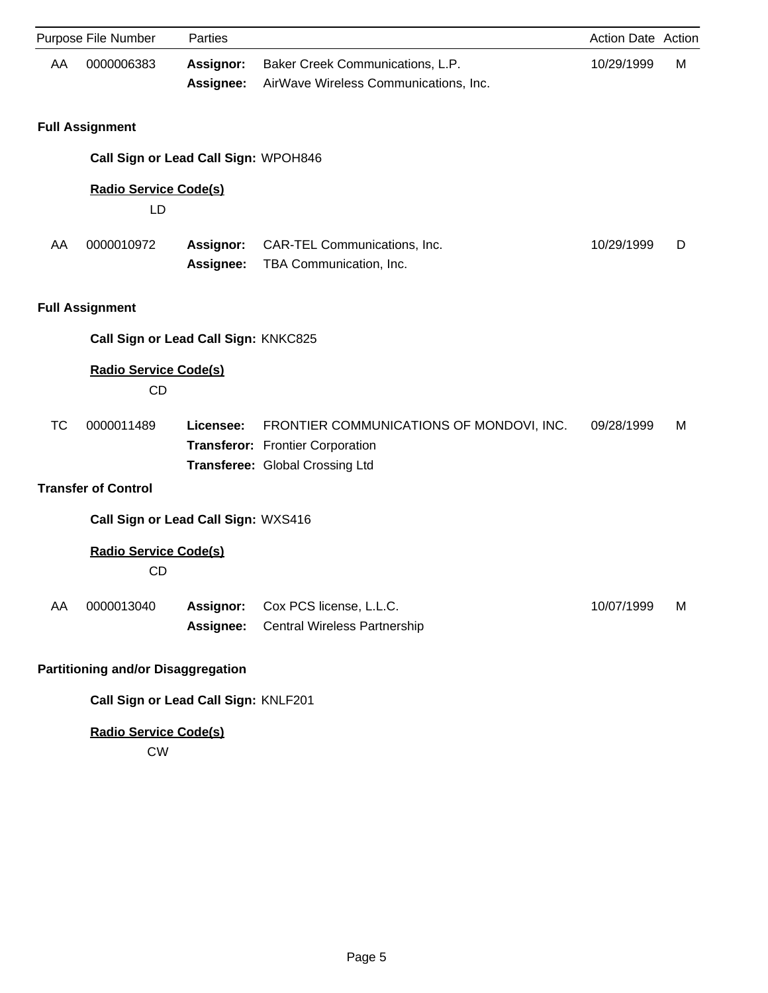|           | Purpose File Number                       | Parties                              |                                                                                                                 | <b>Action Date Action</b> |   |
|-----------|-------------------------------------------|--------------------------------------|-----------------------------------------------------------------------------------------------------------------|---------------------------|---|
| AA        | 0000006383                                | <b>Assignor:</b><br>Assignee:        | Baker Creek Communications, L.P.<br>AirWave Wireless Communications, Inc.                                       | 10/29/1999                | М |
|           | <b>Full Assignment</b>                    |                                      |                                                                                                                 |                           |   |
|           |                                           | Call Sign or Lead Call Sign: WPOH846 |                                                                                                                 |                           |   |
|           | <b>Radio Service Code(s)</b><br>LD        |                                      |                                                                                                                 |                           |   |
| AA        | 0000010972                                | Assignor:<br>Assignee:               | CAR-TEL Communications, Inc.<br>TBA Communication, Inc.                                                         | 10/29/1999                | D |
|           | <b>Full Assignment</b>                    |                                      |                                                                                                                 |                           |   |
|           |                                           | Call Sign or Lead Call Sign: KNKC825 |                                                                                                                 |                           |   |
|           | <b>Radio Service Code(s)</b><br><b>CD</b> |                                      |                                                                                                                 |                           |   |
| <b>TC</b> | 0000011489                                | Licensee:                            | FRONTIER COMMUNICATIONS OF MONDOVI, INC.<br>Transferor: Frontier Corporation<br>Transferee: Global Crossing Ltd | 09/28/1999                | м |
|           | <b>Transfer of Control</b>                |                                      |                                                                                                                 |                           |   |
|           |                                           | Call Sign or Lead Call Sign: WXS416  |                                                                                                                 |                           |   |
|           | <b>Radio Service Code(s)</b><br><b>CD</b> |                                      |                                                                                                                 |                           |   |
| AA        | 0000013040                                | <b>Assignor:</b><br>Assignee:        | Cox PCS license, L.L.C.<br><b>Central Wireless Partnership</b>                                                  | 10/07/1999                | м |
|           | <b>Partitioning and/or Disaggregation</b> |                                      |                                                                                                                 |                           |   |
|           |                                           | Call Sign or Lead Call Sign: KNLF201 |                                                                                                                 |                           |   |
|           | <b>Radio Service Code(s)</b>              |                                      |                                                                                                                 |                           |   |

CW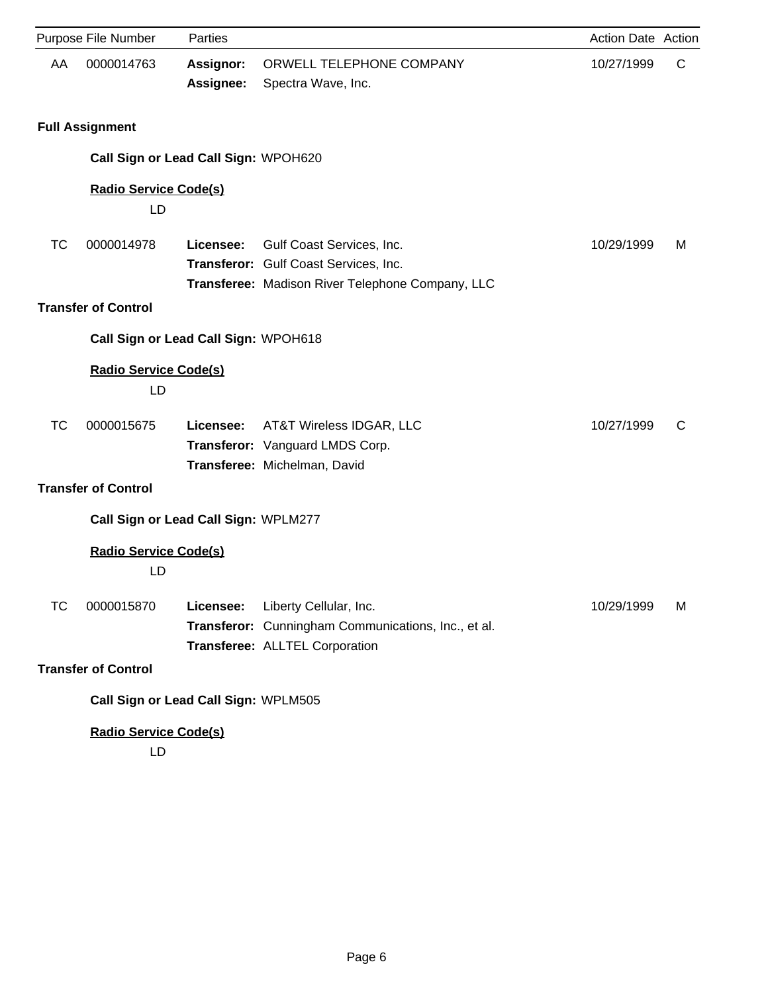|           | Purpose File Number                  | Parties                       |                                                                                                                        | Action Date Action |   |
|-----------|--------------------------------------|-------------------------------|------------------------------------------------------------------------------------------------------------------------|--------------------|---|
| AA        | 0000014763                           | <b>Assignor:</b><br>Assignee: | ORWELL TELEPHONE COMPANY<br>Spectra Wave, Inc.                                                                         | 10/27/1999         | C |
|           | <b>Full Assignment</b>               |                               |                                                                                                                        |                    |   |
|           | Call Sign or Lead Call Sign: WPOH620 |                               |                                                                                                                        |                    |   |
|           | <b>Radio Service Code(s)</b><br>LD   |                               |                                                                                                                        |                    |   |
| <b>TC</b> | 0000014978                           | Licensee:                     | Gulf Coast Services, Inc.<br>Transferor: Gulf Coast Services, Inc.<br>Transferee: Madison River Telephone Company, LLC | 10/29/1999         | м |
|           | <b>Transfer of Control</b>           |                               |                                                                                                                        |                    |   |
|           | Call Sign or Lead Call Sign: WPOH618 |                               |                                                                                                                        |                    |   |
|           | <b>Radio Service Code(s)</b><br>LD   |                               |                                                                                                                        |                    |   |
| <b>TC</b> | 0000015675                           | Licensee:                     | AT&T Wireless IDGAR, LLC<br>Transferor: Vanguard LMDS Corp.<br>Transferee: Michelman, David                            | 10/27/1999         | C |
|           | <b>Transfer of Control</b>           |                               |                                                                                                                        |                    |   |
|           | Call Sign or Lead Call Sign: WPLM277 |                               |                                                                                                                        |                    |   |
|           | <b>Radio Service Code(s)</b><br>LD   |                               |                                                                                                                        |                    |   |
| ТC        | 0000015870                           | Licensee:                     | Liberty Cellular, Inc.<br>Transferor: Cunningham Communications, Inc., et al.<br>Transferee: ALLTEL Corporation        | 10/29/1999         | м |
|           | <b>Transfer of Control</b>           |                               |                                                                                                                        |                    |   |
|           | Call Sign or Lead Call Sign: WPLM505 |                               |                                                                                                                        |                    |   |
|           | <b>Radio Service Code(s)</b>         |                               |                                                                                                                        |                    |   |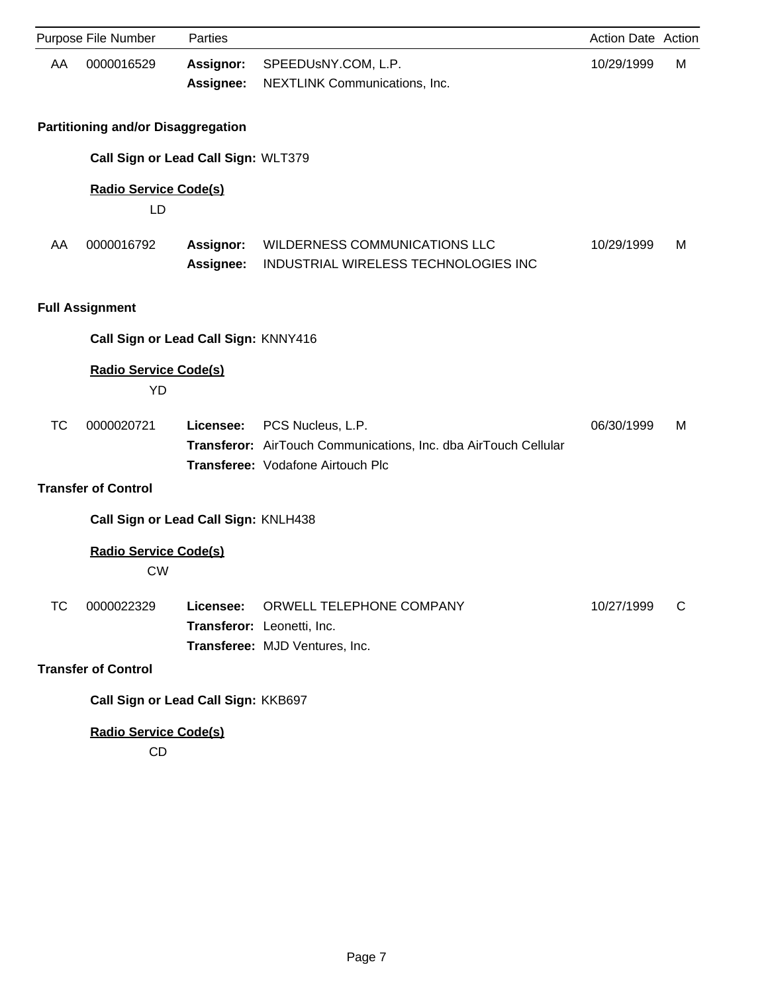|           | Purpose File Number                       | Parties                       |                                                                                                                           | Action Date Action |   |
|-----------|-------------------------------------------|-------------------------------|---------------------------------------------------------------------------------------------------------------------------|--------------------|---|
| AA        | 0000016529                                | Assignor:<br>Assignee:        | SPEEDUSNY.COM, L.P.<br>NEXTLINK Communications, Inc.                                                                      | 10/29/1999         | М |
|           | <b>Partitioning and/or Disaggregation</b> |                               |                                                                                                                           |                    |   |
|           | Call Sign or Lead Call Sign: WLT379       |                               |                                                                                                                           |                    |   |
|           | <b>Radio Service Code(s)</b><br>LD        |                               |                                                                                                                           |                    |   |
| AA        | 0000016792                                | <b>Assignor:</b><br>Assignee: | WILDERNESS COMMUNICATIONS LLC<br>INDUSTRIAL WIRELESS TECHNOLOGIES INC                                                     | 10/29/1999         | м |
|           | <b>Full Assignment</b>                    |                               |                                                                                                                           |                    |   |
|           | Call Sign or Lead Call Sign: KNNY416      |                               |                                                                                                                           |                    |   |
|           | <b>Radio Service Code(s)</b><br><b>YD</b> |                               |                                                                                                                           |                    |   |
| <b>TC</b> | 0000020721                                | Licensee:                     | PCS Nucleus, L.P.<br>Transferor: AirTouch Communications, Inc. dba AirTouch Cellular<br>Transferee: Vodafone Airtouch Plc | 06/30/1999         | м |
|           | <b>Transfer of Control</b>                |                               |                                                                                                                           |                    |   |
|           | Call Sign or Lead Call Sign: KNLH438      |                               |                                                                                                                           |                    |   |
|           | <b>Radio Service Code(s)</b><br><b>CW</b> |                               |                                                                                                                           |                    |   |
| <b>TC</b> | 0000022329                                | Licensee:                     | ORWELL TELEPHONE COMPANY<br>Transferor: Leonetti, Inc.<br>Transferee: MJD Ventures, Inc.                                  | 10/27/1999         | C |
|           | <b>Transfer of Control</b>                |                               |                                                                                                                           |                    |   |
|           | Call Sign or Lead Call Sign: KKB697       |                               |                                                                                                                           |                    |   |
|           | <b>Radio Service Code(s)</b><br>CD        |                               |                                                                                                                           |                    |   |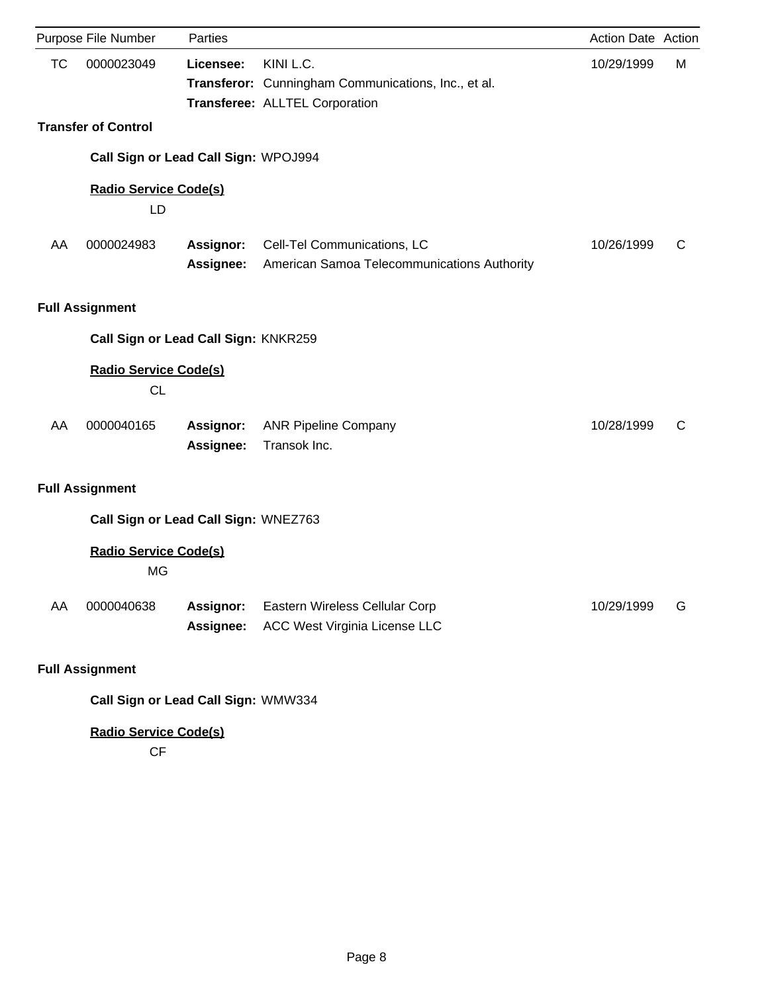|           | Purpose File Number                       | Parties                              |                                                                                                    | <b>Action Date Action</b> |   |
|-----------|-------------------------------------------|--------------------------------------|----------------------------------------------------------------------------------------------------|---------------------------|---|
| <b>TC</b> | 0000023049                                | Licensee:                            | KINI L.C.<br>Transferor: Cunningham Communications, Inc., et al.<br>Transferee: ALLTEL Corporation | 10/29/1999                | М |
|           | <b>Transfer of Control</b>                |                                      |                                                                                                    |                           |   |
|           |                                           | Call Sign or Lead Call Sign: WPOJ994 |                                                                                                    |                           |   |
|           | <b>Radio Service Code(s)</b><br>LD        |                                      |                                                                                                    |                           |   |
| AA        | 0000024983                                | <b>Assignor:</b><br>Assignee:        | Cell-Tel Communications, LC<br>American Samoa Telecommunications Authority                         | 10/26/1999                | C |
|           | <b>Full Assignment</b>                    |                                      |                                                                                                    |                           |   |
|           |                                           | Call Sign or Lead Call Sign: KNKR259 |                                                                                                    |                           |   |
|           | <b>Radio Service Code(s)</b><br><b>CL</b> |                                      |                                                                                                    |                           |   |
| AA        | 0000040165                                | Assignor:<br>Assignee:               | <b>ANR Pipeline Company</b><br>Transok Inc.                                                        | 10/28/1999                | C |
|           | <b>Full Assignment</b>                    |                                      |                                                                                                    |                           |   |
|           |                                           | Call Sign or Lead Call Sign: WNEZ763 |                                                                                                    |                           |   |
|           | <b>Radio Service Code(s)</b><br><b>MG</b> |                                      |                                                                                                    |                           |   |
| AA        | 0000040638                                | Assignor:<br>Assignee:               | Eastern Wireless Cellular Corp<br>ACC West Virginia License LLC                                    | 10/29/1999                | G |
|           | <b>Full Assignment</b>                    |                                      |                                                                                                    |                           |   |
|           |                                           | Call Sign or Lead Call Sign: WMW334  |                                                                                                    |                           |   |

**Radio Service Code(s)**

CF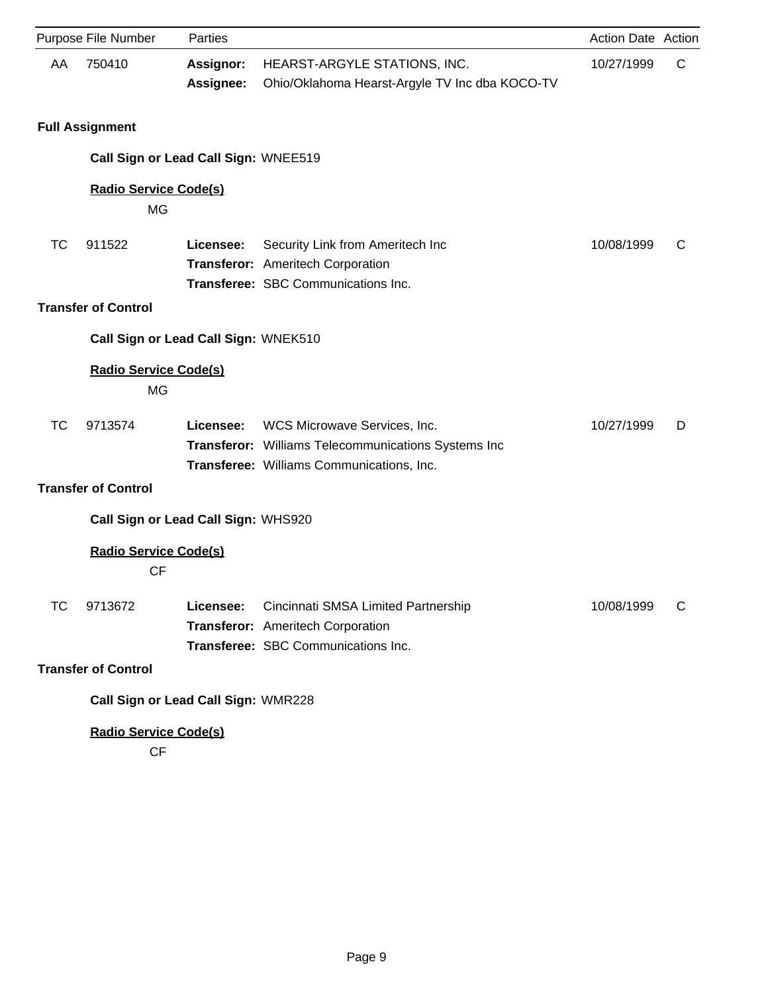|           | Purpose File Number                       | Parties                       |                                                                                                                                  | Action Date Action |   |
|-----------|-------------------------------------------|-------------------------------|----------------------------------------------------------------------------------------------------------------------------------|--------------------|---|
| AA        | 750410                                    | <b>Assignor:</b><br>Assignee: | HEARST-ARGYLE STATIONS, INC.<br>Ohio/Oklahoma Hearst-Argyle TV Inc dba KOCO-TV                                                   | 10/27/1999         | C |
|           | <b>Full Assignment</b>                    |                               |                                                                                                                                  |                    |   |
|           | Call Sign or Lead Call Sign: WNEE519      |                               |                                                                                                                                  |                    |   |
|           | <b>Radio Service Code(s)</b><br>MG        |                               |                                                                                                                                  |                    |   |
| <b>TC</b> | 911522                                    | Licensee:                     | Security Link from Ameritech Inc<br>Transferor: Ameritech Corporation<br>Transferee: SBC Communications Inc.                     | 10/08/1999         | C |
|           | <b>Transfer of Control</b>                |                               |                                                                                                                                  |                    |   |
|           | Call Sign or Lead Call Sign: WNEK510      |                               |                                                                                                                                  |                    |   |
|           | <b>Radio Service Code(s)</b><br><b>MG</b> |                               |                                                                                                                                  |                    |   |
| <b>TC</b> | 9713574                                   | Licensee:                     | WCS Microwave Services, Inc.<br>Transferor: Williams Telecommunications Systems Inc<br>Transferee: Williams Communications, Inc. | 10/27/1999         | D |
|           | <b>Transfer of Control</b>                |                               |                                                                                                                                  |                    |   |
|           | Call Sign or Lead Call Sign: WHS920       |                               |                                                                                                                                  |                    |   |
|           | <b>Radio Service Code(s)</b><br><b>CF</b> |                               |                                                                                                                                  |                    |   |
| ТC        | 9713672                                   | Licensee:                     | Cincinnati SMSA Limited Partnership<br>Transferor: Ameritech Corporation<br>Transferee: SBC Communications Inc.                  | 10/08/1999         | C |
|           | <b>Transfer of Control</b>                |                               |                                                                                                                                  |                    |   |
|           | Call Sign or Lead Call Sign: WMR228       |                               |                                                                                                                                  |                    |   |
|           | <b>Radio Service Code(s)</b>              |                               |                                                                                                                                  |                    |   |

CF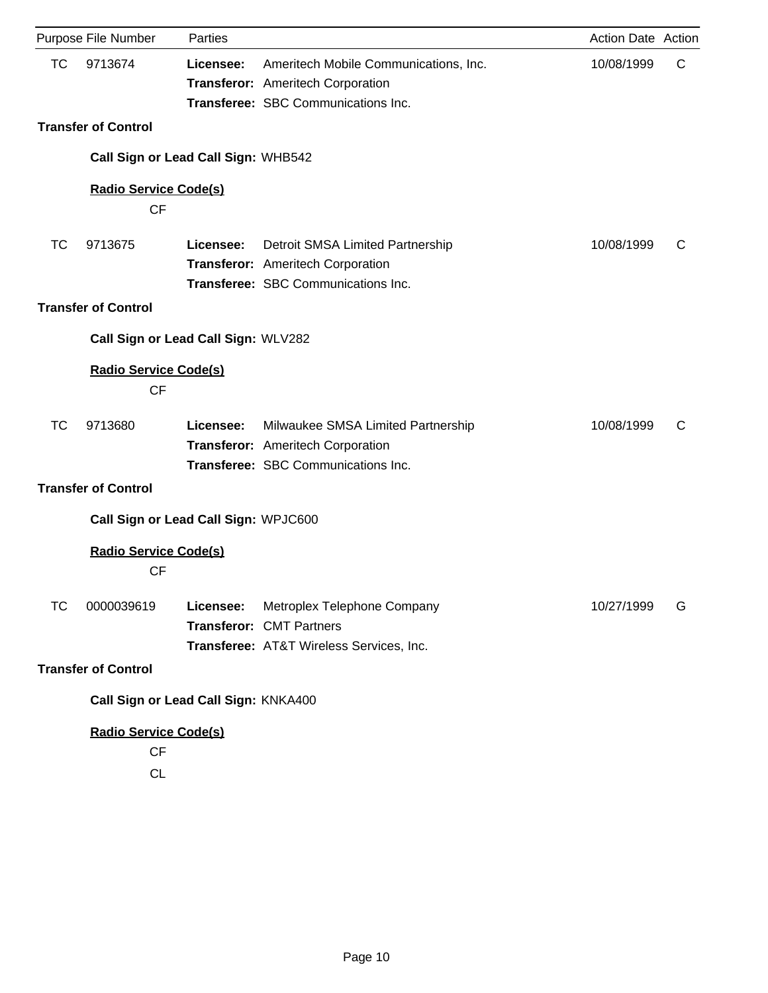|           | Purpose File Number                  | Parties   |                                          | Action Date Action |   |
|-----------|--------------------------------------|-----------|------------------------------------------|--------------------|---|
| TC        | 9713674                              | Licensee: | Ameritech Mobile Communications, Inc.    | 10/08/1999         | C |
|           |                                      |           | Transferor: Ameritech Corporation        |                    |   |
|           |                                      |           | Transferee: SBC Communications Inc.      |                    |   |
|           | <b>Transfer of Control</b>           |           |                                          |                    |   |
|           | Call Sign or Lead Call Sign: WHB542  |           |                                          |                    |   |
|           | <b>Radio Service Code(s)</b>         |           |                                          |                    |   |
|           | <b>CF</b>                            |           |                                          |                    |   |
| <b>TC</b> | 9713675                              | Licensee: | Detroit SMSA Limited Partnership         | 10/08/1999         | C |
|           |                                      |           | Transferor: Ameritech Corporation        |                    |   |
|           |                                      |           | Transferee: SBC Communications Inc.      |                    |   |
|           | <b>Transfer of Control</b>           |           |                                          |                    |   |
|           | Call Sign or Lead Call Sign: WLV282  |           |                                          |                    |   |
|           | <b>Radio Service Code(s)</b>         |           |                                          |                    |   |
|           | <b>CF</b>                            |           |                                          |                    |   |
| <b>TC</b> | 9713680                              | Licensee: | Milwaukee SMSA Limited Partnership       | 10/08/1999         | C |
|           |                                      |           | Transferor: Ameritech Corporation        |                    |   |
|           |                                      |           | Transferee: SBC Communications Inc.      |                    |   |
|           | <b>Transfer of Control</b>           |           |                                          |                    |   |
|           | Call Sign or Lead Call Sign: WPJC600 |           |                                          |                    |   |
|           | <b>Radio Service Code(s)</b>         |           |                                          |                    |   |
|           | <b>CF</b>                            |           |                                          |                    |   |
| ТC        | 0000039619                           | Licensee: | Metroplex Telephone Company              | 10/27/1999         | G |
|           |                                      |           | <b>Transferor: CMT Partners</b>          |                    |   |
|           |                                      |           | Transferee: AT&T Wireless Services, Inc. |                    |   |
|           | <b>Transfer of Control</b>           |           |                                          |                    |   |
|           | Call Sign or Lead Call Sign: KNKA400 |           |                                          |                    |   |
|           | <b>Radio Service Code(s)</b>         |           |                                          |                    |   |
|           | CF                                   |           |                                          |                    |   |
|           | <b>CL</b>                            |           |                                          |                    |   |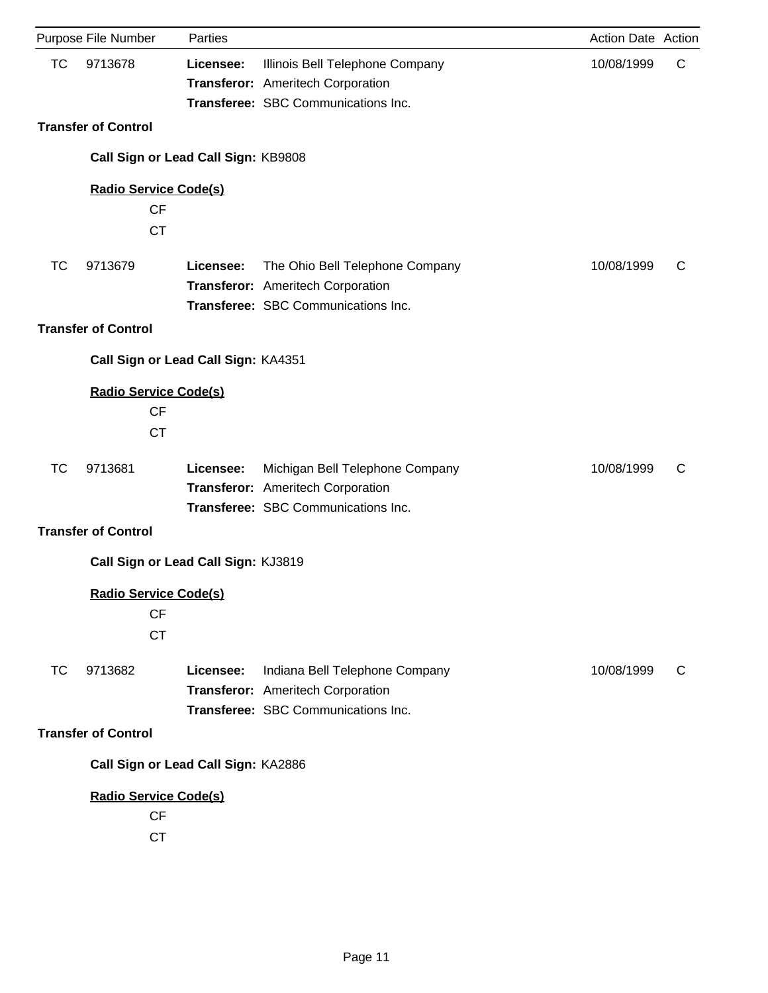|           | Purpose File Number                       | Parties   |                                                                                                             | Action Date Action |    |
|-----------|-------------------------------------------|-----------|-------------------------------------------------------------------------------------------------------------|--------------------|----|
| <b>TC</b> | 9713678                                   | Licensee: | Illinois Bell Telephone Company<br>Transferor: Ameritech Corporation<br>Transferee: SBC Communications Inc. | 10/08/1999         | C  |
|           | <b>Transfer of Control</b>                |           |                                                                                                             |                    |    |
|           | Call Sign or Lead Call Sign: KB9808       |           |                                                                                                             |                    |    |
|           |                                           |           |                                                                                                             |                    |    |
|           | <b>Radio Service Code(s)</b><br><b>CF</b> |           |                                                                                                             |                    |    |
|           | <b>CT</b>                                 |           |                                                                                                             |                    |    |
|           |                                           |           |                                                                                                             |                    |    |
| <b>TC</b> | 9713679                                   | Licensee: | The Ohio Bell Telephone Company                                                                             | 10/08/1999         | C  |
|           |                                           |           | Transferor: Ameritech Corporation<br>Transferee: SBC Communications Inc.                                    |                    |    |
|           | <b>Transfer of Control</b>                |           |                                                                                                             |                    |    |
|           |                                           |           |                                                                                                             |                    |    |
|           | Call Sign or Lead Call Sign: KA4351       |           |                                                                                                             |                    |    |
|           | <b>Radio Service Code(s)</b>              |           |                                                                                                             |                    |    |
|           | <b>CF</b>                                 |           |                                                                                                             |                    |    |
|           | <b>CT</b>                                 |           |                                                                                                             |                    |    |
| <b>TC</b> | 9713681                                   | Licensee: | Michigan Bell Telephone Company                                                                             | 10/08/1999         | C  |
|           |                                           |           | Transferor: Ameritech Corporation                                                                           |                    |    |
|           |                                           |           | Transferee: SBC Communications Inc.                                                                         |                    |    |
|           | <b>Transfer of Control</b>                |           |                                                                                                             |                    |    |
|           | Call Sign or Lead Call Sign: KJ3819       |           |                                                                                                             |                    |    |
|           | Radio Service Code(s)                     |           |                                                                                                             |                    |    |
|           | CF                                        |           |                                                                                                             |                    |    |
|           | <b>CT</b>                                 |           |                                                                                                             |                    |    |
| <b>TC</b> | 9713682                                   | Licensee: | Indiana Bell Telephone Company                                                                              | 10/08/1999         | C. |
|           |                                           |           | Transferor: Ameritech Corporation                                                                           |                    |    |
|           |                                           |           | Transferee: SBC Communications Inc.                                                                         |                    |    |
|           | <b>Transfer of Control</b>                |           |                                                                                                             |                    |    |
|           | Call Sign or Lead Call Sign: KA2886       |           |                                                                                                             |                    |    |
|           | <b>Radio Service Code(s)</b>              |           |                                                                                                             |                    |    |
|           | CF                                        |           |                                                                                                             |                    |    |
|           | <b>CT</b>                                 |           |                                                                                                             |                    |    |
|           |                                           |           |                                                                                                             |                    |    |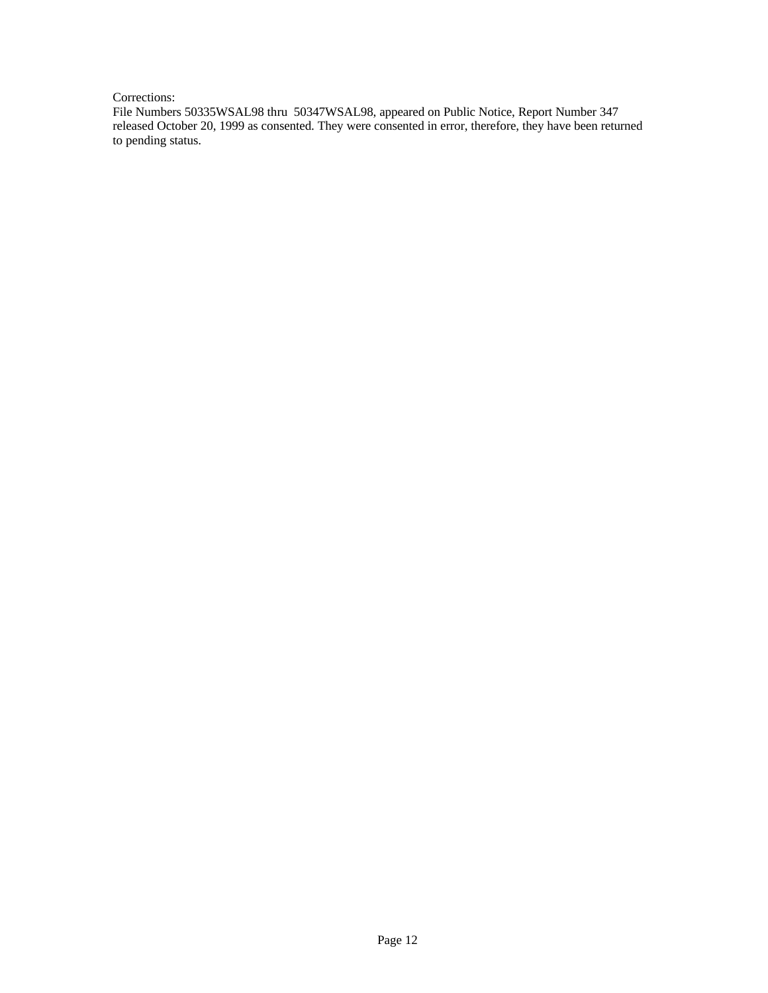## Corrections:

File Numbers 50335WSAL98 thru 50347WSAL98, appeared on Public Notice, Report Number 347 released October 20, 1999 as consented. They were consented in error, therefore, they have been returned to pending status.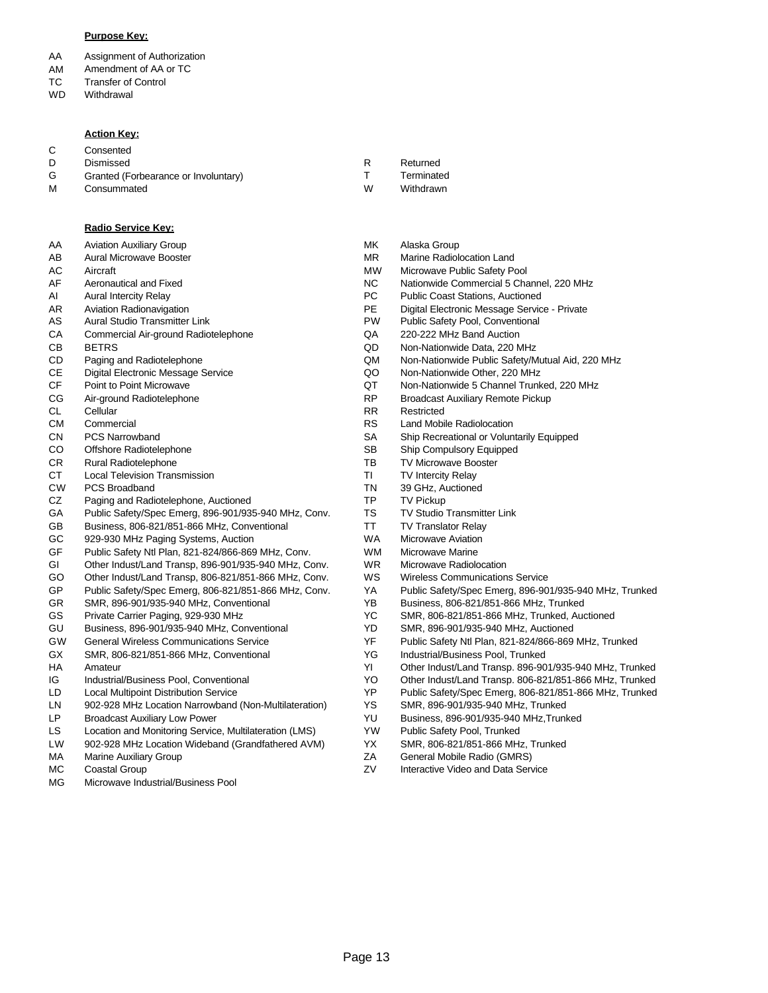#### **Purpose Key:**

- AA Assignment of Authorization
- AM Amendment of AA or TC
- TC Transfer of Control
- WD **Withdrawal**

#### **Action Key:**

C Consented

D Dismissed

M

- G Granted (Forbearance or Involuntary)
	- **Consummated**

### **Radio Service Key:**

AA Aviation Auxiliary Group

- AB Aural Microwave Booster
- AC Aircraft
- AF Aeronautical and Fixed
- AI Aural Intercity Relay
- AR Aviation Radionavigation
- AS Aural Studio Transmitter Link
- **CA** Commercial Air-ground Radiotelephone
- CB BETRS
- CD Paging and Radiotelephone
- CE Digital Electronic Message Service
- CF Point to Point Microwave
- CG Air-ground Radiotelephone
- CL Cellular
- CM **Commercial**
- CN PCS Narrowband
- CO Offshore Radiotelephone
- CR Rural Radiotelephone
- **CT** Local Television Transmission
- CW PCS Broadband
- CZ Paging and Radiotelephone, Auctioned
- GA Public Safety/Spec Emerg, 896-901/935-940 MHz, Conv.
- GB Business, 806-821/851-866 MHz, Conventional
- GC 929-930 MHz Paging Systems, Auction
- GF Public Safety Ntl Plan, 821-824/866-869 MHz, Conv.
- GI Other Indust/Land Transp, 896-901/935-940 MHz, Conv.
- GO Other Indust/Land Transp, 806-821/851-866 MHz, Conv.
- GP Public Safety/Spec Emerg, 806-821/851-866 MHz, Conv.
- GR SMR, 896-901/935-940 MHz, Conventional
- GS Private Carrier Paging, 929-930 MHz
- GU Business, 896-901/935-940 MHz, Conventional
- GW General Wireless Communications Service
- GX SMR, 806-821/851-866 MHz, Conventional
- HA Amateur
- IG Industrial/Business Pool, Conventional
- LD Local Multipoint Distribution Service
- LN 902-928 MHz Location Narrowband (Non-Multilateration)
- LP Broadcast Auxiliary Low Power
- LS Location and Monitoring Service, Multilateration (LMS)
- LW 902-928 MHz Location Wideband (Grandfathered AVM)
- MA Marine Auxiliary Group
- MC Coastal Group
- MG Microwave Industrial/Business Pool
- Returned R
	- **Terminated**

T

- Withdrawn W
- Alaska Group MK
- MR Marine Radiolocation Land
- MW Microwave Public Safety Pool
- NC Nationwide Commercial 5 Channel, 220 MHz<br>PC Public Coast Stations. Auctioned
- Public Coast Stations, Auctioned
- PE Digital Electronic Message Service Private
- PW Public Safety Pool, Conventional
- QA 220-222 MHz Band Auction
- QD Non-Nationwide Data, 220 MHz
- QM Non-Nationwide Public Safety/Mutual Aid, 220 MHz
- QO Non-Nationwide Other, 220 MHz
- QT Non-Nationwide 5 Channel Trunked, 220 MHz
- RP Broadcast Auxiliary Remote Pickup
- RR Restricted
	- RS Land Mobile Radiolocation
	- SA Ship Recreational or Voluntarily Equipped
	- SB Ship Compulsory Equipped
	- TB TV Microwave Booster
	- TI TV Intercity Relay
	- TN 39 GHz, Auctioned
	- TP TV Pickup
	- TS TV Studio Transmitter Link
	- TT TV Translator Relay
	- WA Microwave Aviation
	- WM Microwave Marine
	- WR Microwave Radiolocation
	- WS Wireless Communications Service
	- YA Public Safety/Spec Emerg, 896-901/935-940 MHz, Trunked
	- YB Business, 806-821/851-866 MHz, Trunked
	- YC SMR, 806-821/851-866 MHz, Trunked, Auctioned
	- YD SMR, 896-901/935-940 MHz, Auctioned
	- YF Public Safety Ntl Plan, 821-824/866-869 MHz, Trunked
	- YG Industrial/Business Pool, Trunked
	- YI Other Indust/Land Transp. 896-901/935-940 MHz, Trunked
	- YO Other Indust/Land Transp. 806-821/851-866 MHz, Trunked
	- YP Public Safety/Spec Emerg, 806-821/851-866 MHz, Trunked
	- YS SMR, 896-901/935-940 MHz, Trunked
	- YU Business, 896-901/935-940 MHz,Trunked
	- YW Public Safety Pool, Trunked
	- YX SMR, 806-821/851-866 MHz, Trunked
	- ZA General Mobile Radio (GMRS)
	- ZV Interactive Video and Data Service